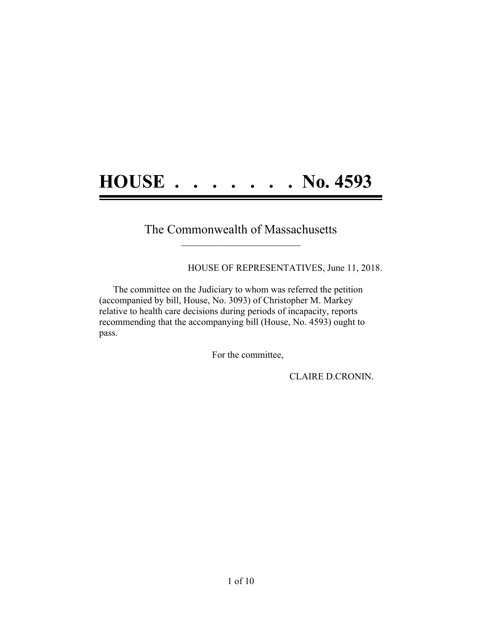## **HOUSE . . . . . . . No. 4593**

### The Commonwealth of Massachusetts **\_\_\_\_\_\_\_\_\_\_\_\_\_\_\_\_\_\_\_\_\_\_\_\_\_\_\_\_\_\_\_\_\_\_\_\_\_\_**

HOUSE OF REPRESENTATIVES, June 11, 2018.

The committee on the Judiciary to whom was referred the petition (accompanied by bill, House, No. 3093) of Christopher M. Markey relative to health care decisions during periods of incapacity, reports recommending that the accompanying bill (House, No. 4593) ought to pass.

For the committee,

CLAIRE D.CRONIN.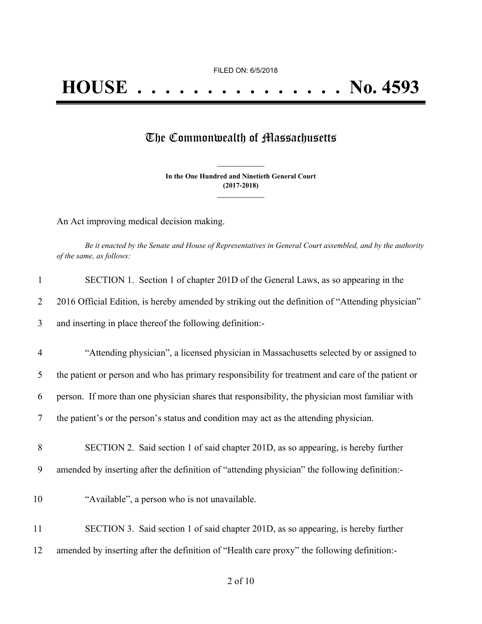FILED ON: 6/5/2018

# **HOUSE . . . . . . . . . . . . . . . No. 4593**

### The Commonwealth of Massachusetts

**In the One Hundred and Ninetieth General Court (2017-2018) \_\_\_\_\_\_\_\_\_\_\_\_\_\_\_**

**\_\_\_\_\_\_\_\_\_\_\_\_\_\_\_**

An Act improving medical decision making.

Be it enacted by the Senate and House of Representatives in General Court assembled, and by the authority *of the same, as follows:*

| $\mathbf{1}$   | SECTION 1. Section 1 of chapter 201D of the General Laws, as so appearing in the                  |
|----------------|---------------------------------------------------------------------------------------------------|
| 2              | 2016 Official Edition, is hereby amended by striking out the definition of "Attending physician"  |
| 3              | and inserting in place thereof the following definition:-                                         |
| $\overline{4}$ | "Attending physician", a licensed physician in Massachusetts selected by or assigned to           |
| 5              | the patient or person and who has primary responsibility for treatment and care of the patient or |
| 6              | person. If more than one physician shares that responsibility, the physician most familiar with   |
| 7              | the patient's or the person's status and condition may act as the attending physician.            |
| 8              | SECTION 2. Said section 1 of said chapter 201D, as so appearing, is hereby further                |
| 9              | amended by inserting after the definition of "attending physician" the following definition:-     |
| 10             | "Available", a person who is not unavailable.                                                     |
| 11             | SECTION 3. Said section 1 of said chapter 201D, as so appearing, is hereby further                |
| 12             | amended by inserting after the definition of "Health care proxy" the following definition:-       |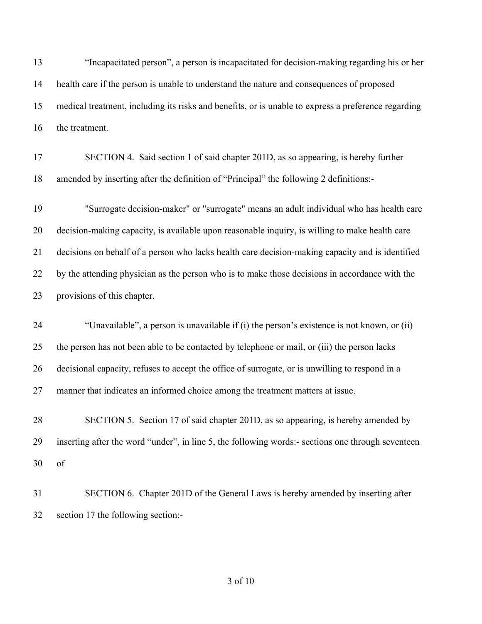"Incapacitated person", a person is incapacitated for decision-making regarding his or her health care if the person is unable to understand the nature and consequences of proposed medical treatment, including its risks and benefits, or is unable to express a preference regarding the treatment.

 SECTION 4. Said section 1 of said chapter 201D, as so appearing, is hereby further amended by inserting after the definition of "Principal" the following 2 definitions:-

 "Surrogate decision-maker" or "surrogate" means an adult individual who has health care decision-making capacity, is available upon reasonable inquiry, is willing to make health care decisions on behalf of a person who lacks health care decision-making capacity and is identified by the attending physician as the person who is to make those decisions in accordance with the provisions of this chapter.

 "Unavailable", a person is unavailable if (i) the person's existence is not known, or (ii) the person has not been able to be contacted by telephone or mail, or (iii) the person lacks decisional capacity, refuses to accept the office of surrogate, or is unwilling to respond in a manner that indicates an informed choice among the treatment matters at issue.

 SECTION 5. Section 17 of said chapter 201D, as so appearing, is hereby amended by inserting after the word "under", in line 5, the following words:- sections one through seventeen of

 SECTION 6. Chapter 201D of the General Laws is hereby amended by inserting after section 17 the following section:-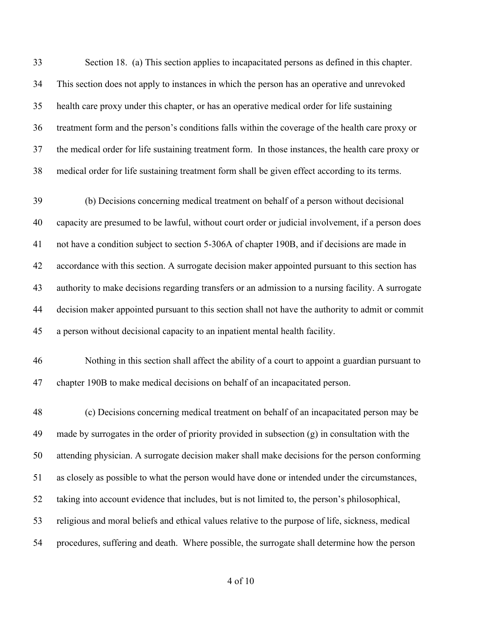Section 18. (a) This section applies to incapacitated persons as defined in this chapter. This section does not apply to instances in which the person has an operative and unrevoked health care proxy under this chapter, or has an operative medical order for life sustaining treatment form and the person's conditions falls within the coverage of the health care proxy or the medical order for life sustaining treatment form. In those instances, the health care proxy or medical order for life sustaining treatment form shall be given effect according to its terms.

 (b) Decisions concerning medical treatment on behalf of a person without decisional capacity are presumed to be lawful, without court order or judicial involvement, if a person does not have a condition subject to section 5-306A of chapter 190B, and if decisions are made in accordance with this section. A surrogate decision maker appointed pursuant to this section has authority to make decisions regarding transfers or an admission to a nursing facility. A surrogate decision maker appointed pursuant to this section shall not have the authority to admit or commit a person without decisional capacity to an inpatient mental health facility.

 Nothing in this section shall affect the ability of a court to appoint a guardian pursuant to chapter 190B to make medical decisions on behalf of an incapacitated person.

 (c) Decisions concerning medical treatment on behalf of an incapacitated person may be made by surrogates in the order of priority provided in subsection (g) in consultation with the attending physician. A surrogate decision maker shall make decisions for the person conforming as closely as possible to what the person would have done or intended under the circumstances, taking into account evidence that includes, but is not limited to, the person's philosophical, religious and moral beliefs and ethical values relative to the purpose of life, sickness, medical procedures, suffering and death. Where possible, the surrogate shall determine how the person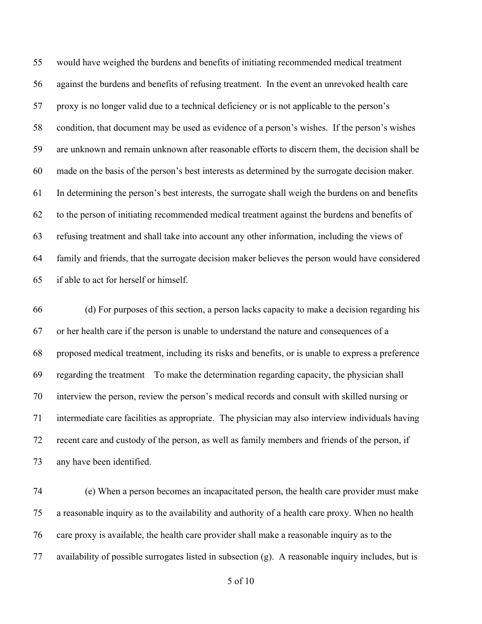would have weighed the burdens and benefits of initiating recommended medical treatment against the burdens and benefits of refusing treatment. In the event an unrevoked health care proxy is no longer valid due to a technical deficiency or is not applicable to the person's condition, that document may be used as evidence of a person's wishes. If the person's wishes are unknown and remain unknown after reasonable efforts to discern them, the decision shall be made on the basis of the person's best interests as determined by the surrogate decision maker. In determining the person's best interests, the surrogate shall weigh the burdens on and benefits to the person of initiating recommended medical treatment against the burdens and benefits of refusing treatment and shall take into account any other information, including the views of family and friends, that the surrogate decision maker believes the person would have considered if able to act for herself or himself.

 (d) For purposes of this section, a person lacks capacity to make a decision regarding his or her health care if the person is unable to understand the nature and consequences of a proposed medical treatment, including its risks and benefits, or is unable to express a preference regarding the treatment To make the determination regarding capacity, the physician shall interview the person, review the person's medical records and consult with skilled nursing or intermediate care facilities as appropriate. The physician may also interview individuals having recent care and custody of the person, as well as family members and friends of the person, if any have been identified.

 (e) When a person becomes an incapacitated person, the health care provider must make a reasonable inquiry as to the availability and authority of a health care proxy. When no health care proxy is available, the health care provider shall make a reasonable inquiry as to the availability of possible surrogates listed in subsection (g). A reasonable inquiry includes, but is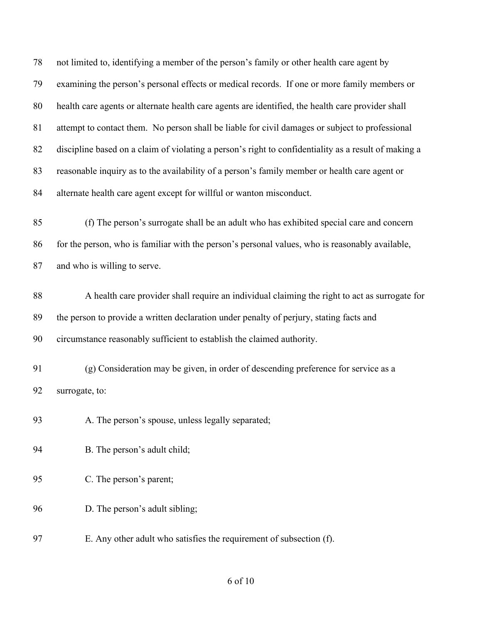not limited to, identifying a member of the person's family or other health care agent by examining the person's personal effects or medical records. If one or more family members or health care agents or alternate health care agents are identified, the health care provider shall attempt to contact them. No person shall be liable for civil damages or subject to professional discipline based on a claim of violating a person's right to confidentiality as a result of making a reasonable inquiry as to the availability of a person's family member or health care agent or alternate health care agent except for willful or wanton misconduct.

 (f) The person's surrogate shall be an adult who has exhibited special care and concern 86 for the person, who is familiar with the person's personal values, who is reasonably available, and who is willing to serve.

 A health care provider shall require an individual claiming the right to act as surrogate for the person to provide a written declaration under penalty of perjury, stating facts and circumstance reasonably sufficient to establish the claimed authority.

 (g) Consideration may be given, in order of descending preference for service as a surrogate, to:

93 A. The person's spouse, unless legally separated;

B. The person's adult child;

C. The person's parent;

D. The person's adult sibling;

E. Any other adult who satisfies the requirement of subsection (f).

#### of 10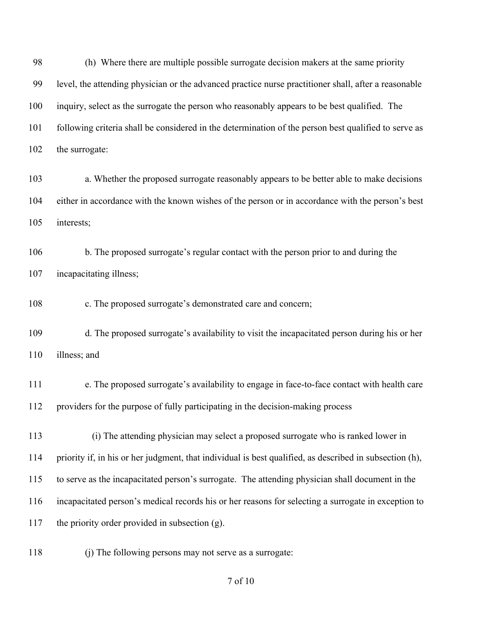(h) Where there are multiple possible surrogate decision makers at the same priority level, the attending physician or the advanced practice nurse practitioner shall, after a reasonable inquiry, select as the surrogate the person who reasonably appears to be best qualified. The following criteria shall be considered in the determination of the person best qualified to serve as the surrogate:

 a. Whether the proposed surrogate reasonably appears to be better able to make decisions either in accordance with the known wishes of the person or in accordance with the person's best interests;

 b. The proposed surrogate's regular contact with the person prior to and during the incapacitating illness;

c. The proposed surrogate's demonstrated care and concern;

 d. The proposed surrogate's availability to visit the incapacitated person during his or her illness; and

 e. The proposed surrogate's availability to engage in face-to-face contact with health care providers for the purpose of fully participating in the decision-making process

113 (i) The attending physician may select a proposed surrogate who is ranked lower in priority if, in his or her judgment, that individual is best qualified, as described in subsection (h), to serve as the incapacitated person's surrogate. The attending physician shall document in the incapacitated person's medical records his or her reasons for selecting a surrogate in exception to the priority order provided in subsection (g).

(j) The following persons may not serve as a surrogate:

of 10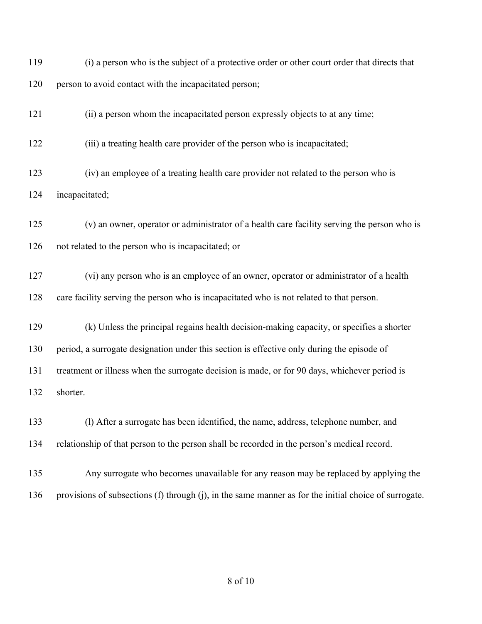(i) a person who is the subject of a protective order or other court order that directs that 120 person to avoid contact with the incapacitated person;

(ii) a person whom the incapacitated person expressly objects to at any time;

(iii) a treating health care provider of the person who is incapacitated;

 (iv) an employee of a treating health care provider not related to the person who is incapacitated;

 (v) an owner, operator or administrator of a health care facility serving the person who is not related to the person who is incapacitated; or

 (vi) any person who is an employee of an owner, operator or administrator of a health care facility serving the person who is incapacitated who is not related to that person.

 (k) Unless the principal regains health decision-making capacity, or specifies a shorter period, a surrogate designation under this section is effective only during the episode of treatment or illness when the surrogate decision is made, or for 90 days, whichever period is shorter.

 (l) After a surrogate has been identified, the name, address, telephone number, and relationship of that person to the person shall be recorded in the person's medical record.

 Any surrogate who becomes unavailable for any reason may be replaced by applying the provisions of subsections (f) through (j), in the same manner as for the initial choice of surrogate.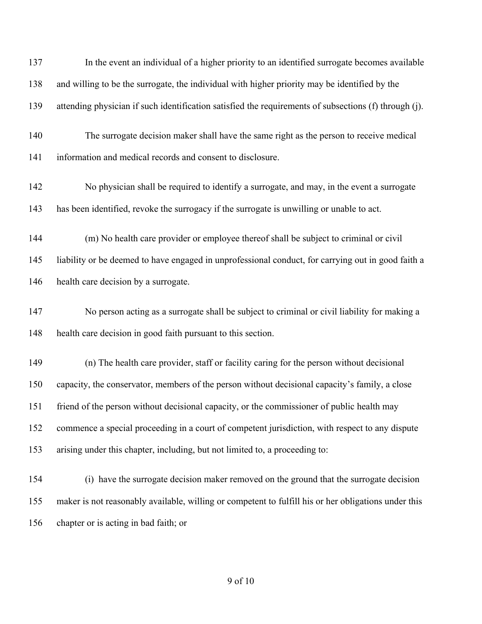| 137 | In the event an individual of a higher priority to an identified surrogate becomes available          |
|-----|-------------------------------------------------------------------------------------------------------|
| 138 | and willing to be the surrogate, the individual with higher priority may be identified by the         |
| 139 | attending physician if such identification satisfied the requirements of subsections (f) through (j). |
| 140 | The surrogate decision maker shall have the same right as the person to receive medical               |
| 141 | information and medical records and consent to disclosure.                                            |
| 142 | No physician shall be required to identify a surrogate, and may, in the event a surrogate             |
| 143 | has been identified, revoke the surrogacy if the surrogate is unwilling or unable to act.             |
| 144 | (m) No health care provider or employee thereof shall be subject to criminal or civil                 |
| 145 | liability or be deemed to have engaged in unprofessional conduct, for carrying out in good faith a    |
| 146 | health care decision by a surrogate.                                                                  |
| 147 | No person acting as a surrogate shall be subject to criminal or civil liability for making a          |
| 148 | health care decision in good faith pursuant to this section.                                          |
| 149 | (n) The health care provider, staff or facility caring for the person without decisional              |
| 150 | capacity, the conservator, members of the person without decisional capacity's family, a close        |
| 151 | friend of the person without decisional capacity, or the commissioner of public health may            |
| 152 | commence a special proceeding in a court of competent jurisdiction, with respect to any dispute       |
| 153 | arising under this chapter, including, but not limited to, a proceeding to:                           |
| 154 | (i) have the surrogate decision maker removed on the ground that the surrogate decision               |
| 155 | maker is not reasonably available, willing or competent to fulfill his or her obligations under this  |
| 156 | chapter or is acting in bad faith; or                                                                 |